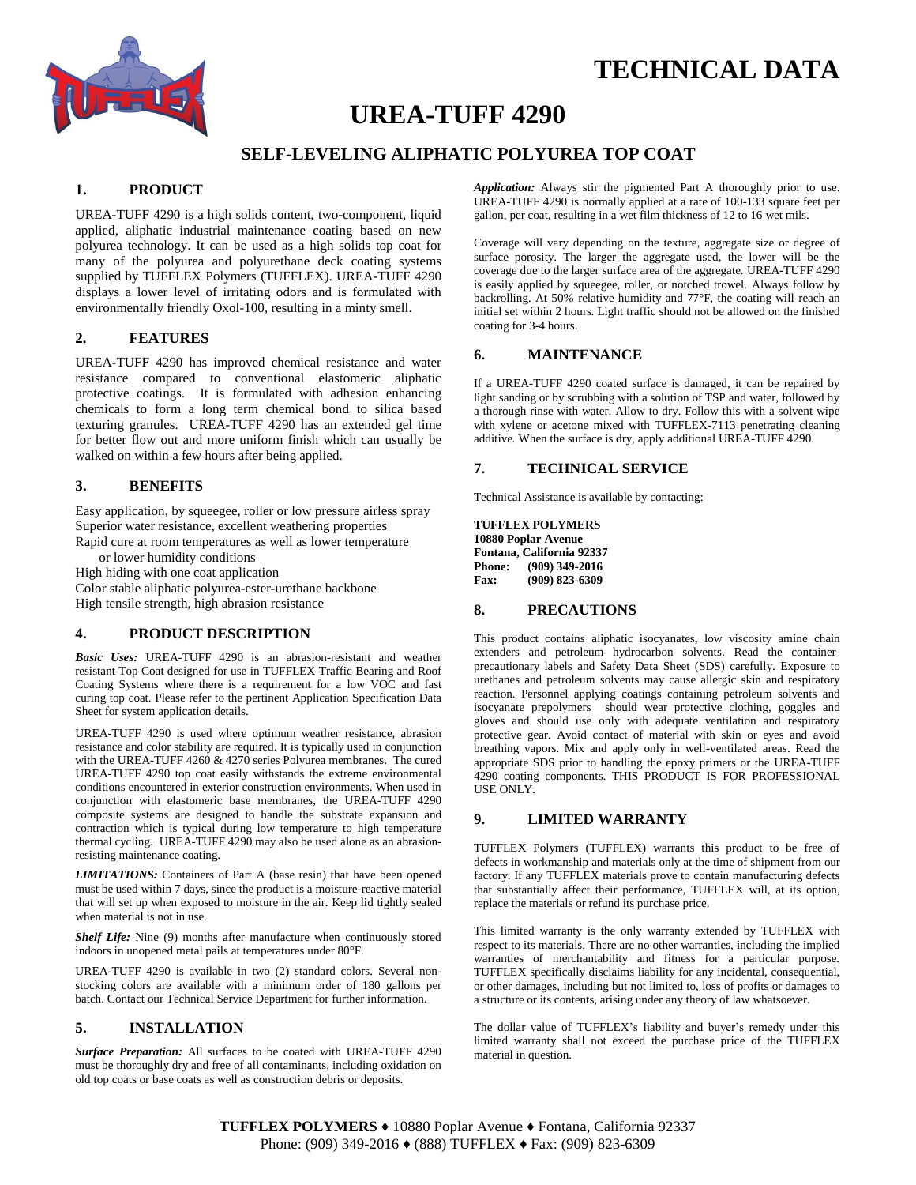



# **UREA-TUFF 4290**

# **SELF-LEVELING ALIPHATIC POLYUREA TOP COAT**

# **1. PRODUCT**

UREA-TUFF 4290 is a high solids content, two-component, liquid applied, aliphatic industrial maintenance coating based on new polyurea technology. It can be used as a high solids top coat for many of the polyurea and polyurethane deck coating systems supplied by TUFFLEX Polymers (TUFFLEX). UREA-TUFF 4290 displays a lower level of irritating odors and is formulated with environmentally friendly Oxol-100, resulting in a minty smell.

#### **2. FEATURES**

UREA-TUFF 4290 has improved chemical resistance and water resistance compared to conventional elastomeric aliphatic protective coatings. It is formulated with adhesion enhancing chemicals to form a long term chemical bond to silica based texturing granules. UREA-TUFF 4290 has an extended gel time for better flow out and more uniform finish which can usually be walked on within a few hours after being applied.

## **3. BENEFITS**

Easy application, by squeegee, roller or low pressure airless spray Superior water resistance, excellent weathering properties

Rapid cure at room temperatures as well as lower temperature

or lower humidity conditions

High hiding with one coat application

Color stable aliphatic polyurea-ester-urethane backbone High tensile strength, high abrasion resistance

## **4. PRODUCT DESCRIPTION**

*Basic Uses:* UREA-TUFF 4290 is an abrasion-resistant and weather resistant Top Coat designed for use in TUFFLEX Traffic Bearing and Roof Coating Systems where there is a requirement for a low VOC and fast curing top coat. Please refer to the pertinent Application Specification Data Sheet for system application details.

UREA-TUFF 4290 is used where optimum weather resistance, abrasion resistance and color stability are required. It is typically used in conjunction with the UREA-TUFF 4260 & 4270 series Polyurea membranes. The cured UREA-TUFF 4290 top coat easily withstands the extreme environmental conditions encountered in exterior construction environments. When used in conjunction with elastomeric base membranes, the UREA-TUFF 4290 composite systems are designed to handle the substrate expansion and contraction which is typical during low temperature to high temperature thermal cycling. UREA-TUFF 4290 may also be used alone as an abrasionresisting maintenance coating.

*LIMITATIONS:* Containers of Part A (base resin) that have been opened must be used within 7 days, since the product is a moisture-reactive material that will set up when exposed to moisture in the air. Keep lid tightly sealed when material is not in use.

*Shelf Life:* Nine (9) months after manufacture when continuously stored indoors in unopened metal pails at temperatures under 80°F.

UREA-TUFF 4290 is available in two (2) standard colors. Several nonstocking colors are available with a minimum order of 180 gallons per batch. Contact our Technical Service Department for further information.

#### **5. INSTALLATION**

*Surface Preparation:* All surfaces to be coated with UREA-TUFF 4290 must be thoroughly dry and free of all contaminants, including oxidation on old top coats or base coats as well as construction debris or deposits.

*Application:* Always stir the pigmented Part A thoroughly prior to use. UREA-TUFF 4290 is normally applied at a rate of 100-133 square feet per gallon, per coat, resulting in a wet film thickness of 12 to 16 wet mils.

Coverage will vary depending on the texture, aggregate size or degree of surface porosity. The larger the aggregate used, the lower will be the coverage due to the larger surface area of the aggregate. UREA-TUFF 4290 is easily applied by squeegee, roller, or notched trowel. Always follow by backrolling. At 50% relative humidity and 77°F, the coating will reach an initial set within 2 hours. Light traffic should not be allowed on the finished coating for 3-4 hours.

#### **6. MAINTENANCE**

If a UREA-TUFF 4290 coated surface is damaged, it can be repaired by light sanding or by scrubbing with a solution of TSP and water, followed by a thorough rinse with water. Allow to dry. Follow this with a solvent wipe with xylene or acetone mixed with TUFFLEX-7113 penetrating cleaning additive*.* When the surface is dry, apply additional UREA-TUFF 4290.

## **7. TECHNICAL SERVICE**

Technical Assistance is available by contacting:

**TUFFLEX POLYMERS 10880 Poplar Avenue Fontana, California 92337 Phone: (909) 349-2016 Fax: (909) 823-6309**

#### **8. PRECAUTIONS**

This product contains aliphatic isocyanates, low viscosity amine chain extenders and petroleum hydrocarbon solvents. Read the containerprecautionary labels and Safety Data Sheet (SDS) carefully. Exposure to urethanes and petroleum solvents may cause allergic skin and respiratory reaction. Personnel applying coatings containing petroleum solvents and isocyanate prepolymers should wear protective clothing, goggles and gloves and should use only with adequate ventilation and respiratory protective gear. Avoid contact of material with skin or eyes and avoid breathing vapors. Mix and apply only in well-ventilated areas. Read the appropriate SDS prior to handling the epoxy primers or the UREA-TUFF 4290 coating components. THIS PRODUCT IS FOR PROFESSIONAL USE ONLY.

#### **9. LIMITED WARRANTY**

TUFFLEX Polymers (TUFFLEX) warrants this product to be free of defects in workmanship and materials only at the time of shipment from our factory. If any TUFFLEX materials prove to contain manufacturing defects that substantially affect their performance, TUFFLEX will, at its option, replace the materials or refund its purchase price.

This limited warranty is the only warranty extended by TUFFLEX with respect to its materials. There are no other warranties, including the implied warranties of merchantability and fitness for a particular purpose. TUFFLEX specifically disclaims liability for any incidental, consequential, or other damages, including but not limited to, loss of profits or damages to a structure or its contents, arising under any theory of law whatsoever.

The dollar value of TUFFLEX's liability and buyer's remedy under this limited warranty shall not exceed the purchase price of the TUFFLEX material in question.